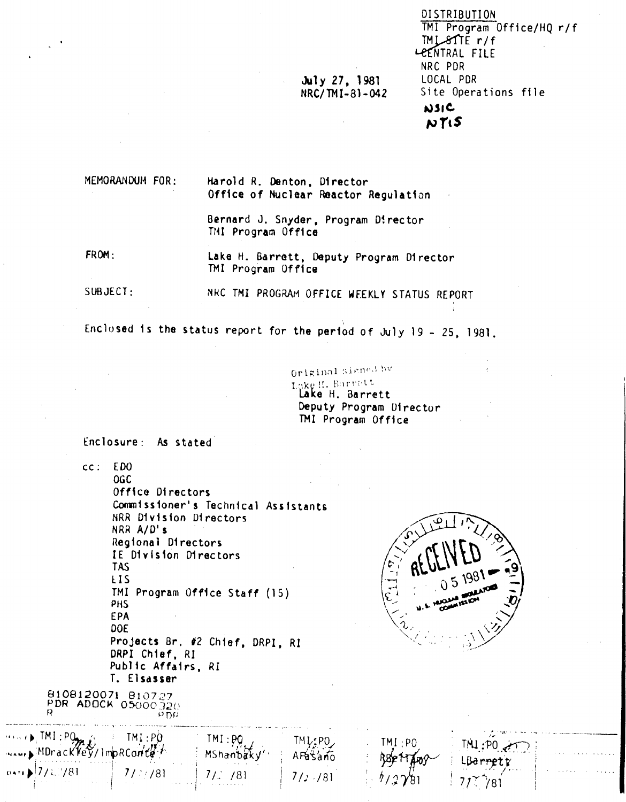| DISTRIBUTION              |  |
|---------------------------|--|
| TMI Program Office/HQ r/f |  |
| $IMLSTIE$ $r/f$           |  |
| LEENTRAL FILE             |  |
| NRC PDR                   |  |
| LOCAL PDR                 |  |
| Site Operations file      |  |
| <b>NSIC</b>               |  |
| 89 T. C                   |  |

MEMORANDUM FOR: Harold R. Denton, Director Office of Nuclear Reactor Regulation

> Bernard J. Snyder, Program Director TMI Program Office

July 27, 1981 NRC/TMI-81-042

FROM: Lake H. Barrett, Deputy Program Director TMI Program Office

 $SUBJECT:$ NRC TMI PROGRAM OFFICE WEEKLY STATUS REPORT

Enclosed is the status report for the period of July 19 - 25, 1981.

Original Signal by Lake H. Barvett Lake H. Barrett Deputy Program Director TMI Program Office

Enclosure: As stated

 $cc: EDO$ 

**OGC** Office Directors Commissioner's Technical Assistants NRR Division Directors NRR A/D's Regional Directors IE Division Directors **TAS LIS** TMI Program Office Staff (15) PHS **EPA** DOE Projects Br. #2 Chief, DRPI, RI DRPI Chief, RI Public Affairs, RI T. Elsasser

8108120071 810727 PDR ADOCK 05000 320  $\overline{p}$ 

 $\mathbf{C}$ 



| <b><i>FINED</i></b> , TMI: PO.<br>$\ldots$ MDrack $\ell_{\rm F}$ /lmpRCanter |                                     | TMI:PO                                    | TML:PO      | TMI:PO | .<br>.<br>$\cdots$        |
|------------------------------------------------------------------------------|-------------------------------------|-------------------------------------------|-------------|--------|---------------------------|
| and a state of the<br>$\cdots$ ) $7/2!/81$<br><b>Contract</b><br>$\sim$      | $\bullet$ .<br>contract and a state | /81<br><b>A R. P. LEWIS CO., LANSING.</b> | $/$ : $/81$ | 7/2781 | $\cdots$<br>.<br>.<br>781 |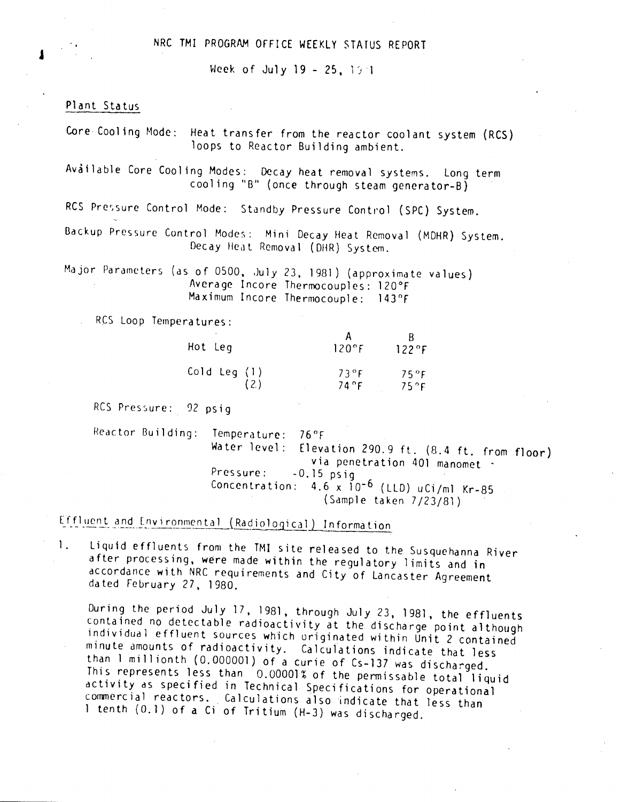## NRC TMI PROGRAM OFFICE WEEKLY STATUS REPORT

Week of July 19 - 25,  $19.1$ 

## Pl ant Sta tus

J

Core Cooling Mode: Heat transfer from the reactor coolant system (RCS) loops to Reactor Building ambient.

Available Core Cooling Modes: Decay heat removal systems. Long term cool ing "B" (once through steam generator-B)

RCS Pressure Control Mode: Standby Pressure Control (SPC) System.

Backup Pressure Control Modes: Mini Decay Heat Removal (MDHR) System. Decay Heat Removal (DHR) System.

Major Parameters (as of 0500, July 23, 1981) (approximate values) Average Incore Thermocouples: 120°F Maximum Incore Thermocouple: 143°F

Res Loop Temperatures:

| Hot Leg        | $120^{\circ}$ F | $122$ °F |
|----------------|-----------------|----------|
| Cold Leg $(1)$ | 73°F            | $75°$ F  |
| (2)            | 74 °F           | 75°F     |

RCS Pressure: 92 psig

Reactor Building: Temperature: 76°F Water level: Elevation 290.9 ft. (8.4 ft. from floor) via penetration 401 manomet  $\cdot$ Pressure: -0.15 psig Concentration: 4.6 x 10-6 (LLO) uCi/m1 Kr-85 (Sample taken 7/23/81)

Effluent and Environmental (Radiological) Information

1. Liquid effluents from the TM! site released to the Susquehanna River after processing, were made within the regulatory limits and in accordance with NRC requirements and City of Lancaster Agreement da ted February 27, 1980.

During the period July 17,1981, through July 23,1981, the effluents contained no detectable radioactivity at the discharge point although individual effluent Sources which originated within Unit 2 contained minute amounts of radioactivity. Calculations indicate that less than 1 millionth (0.000001) of a curie of Cs-137 was discharged. This represents less than 0.00001% of the permissable total liquid activity as specified in Technical Specifications for operational commercial reactors. Calculations also indicate that less than 1 tenth (0.1) of a Ci of Tritium (H-3) was discharged.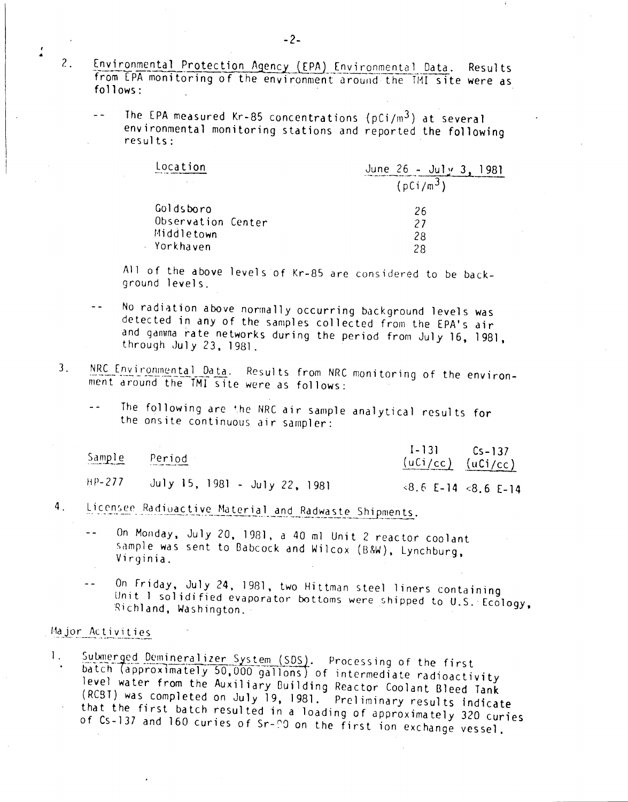- Environmental Protection Agency (EPA) Environmental Data. Results from EPA monitoring of the environment around the TMI site were as  $follows:$ 
	- $\sim$   $\sim$ The EPA measured Kr-85 concentrations ( $pCi/m<sup>3</sup>$ ) at several environmental monitoring stations and reported the following  $results:$

| Location           | June $26 -$ July 3<br>981 |
|--------------------|---------------------------|
|                    | $(pCi/m^3)$               |
| Goldsboro          | 26                        |
| Observation Center | 27                        |
| Middletown         | 28                        |
| Yorkhaven          | 28                        |

All of the above levels of Kr-85 are considered to be background levels.

- No radiation above normally occurring background levels was  $\sim$   $\sim$ detected in any of the samples collected from the EPA's air and gamma rate networks during the period from July 16, 1981, through July 23, 1981.
- NRC Environmental Data. Results from NRC monitoring of the environ- $3<sub>1</sub>$ ment around the TMI site were as follows:
	- The following are the NRC air sample analytical results for the onsite continuous air sampler:

| Sample | Period<br>The first company company and company of | $I - 131$ $Cs - 137$<br>$(uCi/cc)$ $(uCi/cc)$ |
|--------|----------------------------------------------------|-----------------------------------------------|
| HP-277 | July 15, 1981 - July 22, 1981                      | $8.6$ E-14 $8.6$ E-14                         |

- Licensee Radioactive Material and Radwaste Shipments.  $4.$ 
	- On Monday, July 20, 1981, a 40 ml Unit 2 reactor coolant  $\overline{a}$ sample was sent to Babcock and Wilcox (B&W), Lynchburg, Virginia.
	- On Friday, July 24, 1981, two Hittman steel liners containing  $\sim$   $\sim$ Unit I solidified evaporator bottoms were shipped to U.S. Ecology. Richland, Washington.

## Major Activities

 $\cdot$ 

 $\mathcal{Z}_{\bullet}$ 

Submerged Demineralizer System (SDS). Processing of the first  $\mathbf{1}_{+}$ batch (approximately 50,000 gallons) of intermediate radioactivity level water from the Auxiliary Building Reactor Coolant Bleed Tank (RCBT) was completed on July 19, 1981. Preliminary results indicate that the first batch resulted in a loading of approximately 320 curies of Cs-137 and 160 curies of Sr-00 on the first ion exchange vessel.